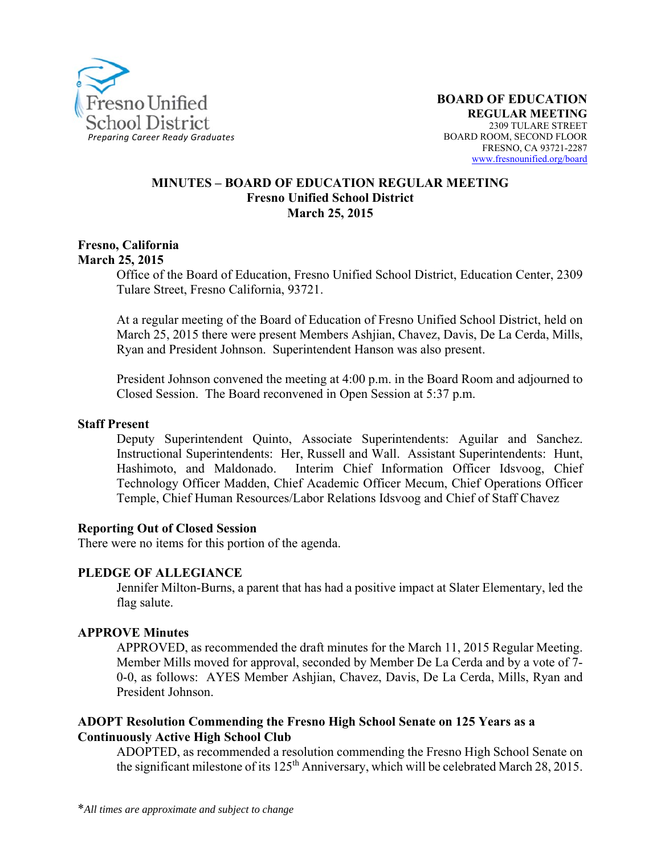

#### **MINUTES – BOARD OF EDUCATION REGULAR MEETING Fresno Unified School District March 25, 2015**

#### **Fresno, California March 25, 2015**

Office of the Board of Education, Fresno Unified School District, Education Center, 2309 Tulare Street, Fresno California, 93721.

At a regular meeting of the Board of Education of Fresno Unified School District, held on March 25, 2015 there were present Members Ashjian, Chavez, Davis, De La Cerda, Mills, Ryan and President Johnson. Superintendent Hanson was also present.

President Johnson convened the meeting at 4:00 p.m. in the Board Room and adjourned to Closed Session. The Board reconvened in Open Session at 5:37 p.m.

#### **Staff Present**

Deputy Superintendent Quinto, Associate Superintendents: Aguilar and Sanchez. Instructional Superintendents: Her, Russell and Wall. Assistant Superintendents: Hunt, Hashimoto, and Maldonado. Interim Chief Information Officer Idsvoog, Chief Technology Officer Madden, Chief Academic Officer Mecum, Chief Operations Officer Temple, Chief Human Resources/Labor Relations Idsvoog and Chief of Staff Chavez

#### **Reporting Out of Closed Session**

There were no items for this portion of the agenda.

#### **PLEDGE OF ALLEGIANCE**

Jennifer Milton-Burns, a parent that has had a positive impact at Slater Elementary, led the flag salute.

### **APPROVE Minutes**

APPROVED, as recommended the draft minutes for the March 11, 2015 Regular Meeting. Member Mills moved for approval, seconded by Member De La Cerda and by a vote of 7- 0-0, as follows: AYES Member Ashjian, Chavez, Davis, De La Cerda, Mills, Ryan and President Johnson.

### **ADOPT Resolution Commending the Fresno High School Senate on 125 Years as a Continuously Active High School Club**

ADOPTED, as recommended a resolution commending the Fresno High School Senate on the significant milestone of its 125<sup>th</sup> Anniversary, which will be celebrated March 28, 2015.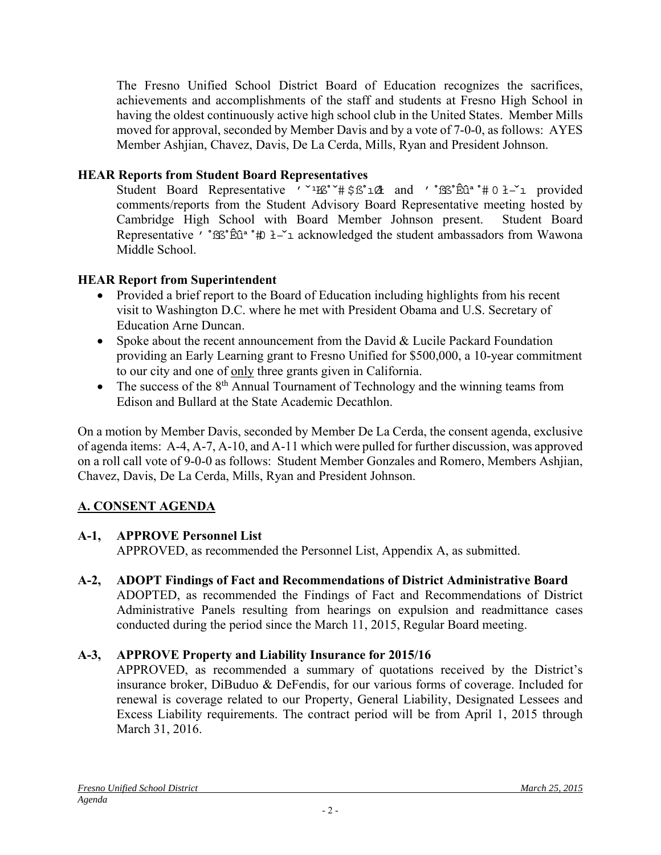The Fresno Unified School District Board of Education recognizes the sacrifices, achievements and accomplishments of the staff and students at Fresno High School in having the oldest continuously active high school club in the United States. Member Mills moved for approval, seconded by Member Davis and by a vote of 7-0-0, as follows: AYES Member Ashjian, Chavez, Davis, De La Cerda, Mills, Ryan and President Johnson.

## **HEAR Reports from Student Board Representatives**

Student Board Representative  $v \sim 10^{-1}$   $\frac{100}{200}$  and  $v \sim 10^{-1}$  and  $v \sim 10^{-1}$  provided comments/reports from the Student Advisory Board Representative meeting hosted by Cambridge High School with Board Member Johnson present. Student Board Representative '  $\mathbb{S}^2$   $\mathbb{R}^3 \oplus \mathbb{R}^2$  acknowledged the student ambassadors from Wawona Middle School.

# **HEAR Report from Superintendent**

- Provided a brief report to the Board of Education including highlights from his recent visit to Washington D.C. where he met with President Obama and U.S. Secretary of Education Arne Duncan.
- Spoke about the recent announcement from the David  $& Lucile$  Packard Foundation providing an Early Learning grant to Fresno Unified for \$500,000, a 10-year commitment to our city and one of only three grants given in California.
- $\bullet$  The success of the 8<sup>th</sup> Annual Tournament of Technology and the winning teams from Edison and Bullard at the State Academic Decathlon.

On a motion by Member Davis, seconded by Member De La Cerda, the consent agenda, exclusive of agenda items: A-4, A-7, A-10, and A-11 which were pulled for further discussion, was approved on a roll call vote of 9-0-0 as follows: Student Member Gonzales and Romero, Members Ashjian, Chavez, Davis, De La Cerda, Mills, Ryan and President Johnson.

# **A. CONSENT AGENDA**

# **A-1, APPROVE Personnel List**

APPROVED, as recommended the Personnel List, Appendix A, as submitted.

**A-2, ADOPT Findings of Fact and Recommendations of District Administrative Board** ADOPTED, as recommended the Findings of Fact and Recommendations of District Administrative Panels resulting from hearings on expulsion and readmittance cases conducted during the period since the March 11, 2015, Regular Board meeting.

# **A-3, APPROVE Property and Liability Insurance for 2015/16**

APPROVED, as recommended a summary of quotations received by the District's insurance broker, DiBuduo & DeFendis, for our various forms of coverage. Included for renewal is coverage related to our Property, General Liability, Designated Lessees and Excess Liability requirements. The contract period will be from April 1, 2015 through March 31, 2016.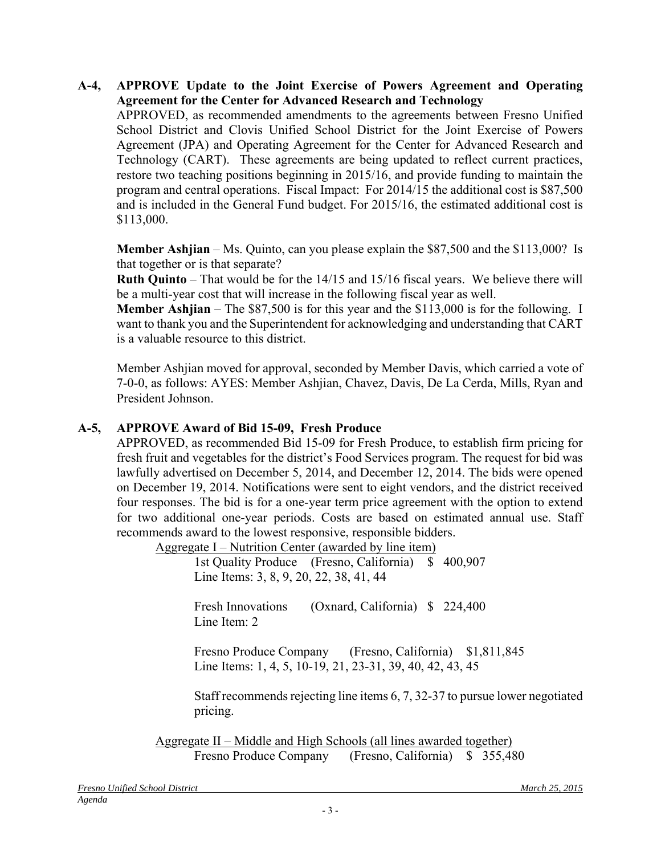### **A-4, APPROVE Update to the Joint Exercise of Powers Agreement and Operating Agreement for the Center for Advanced Research and Technology** APPROVED, as recommended amendments to the agreements between Fresno Unified School District and Clovis Unified School District for the Joint Exercise of Powers Agreement (JPA) and Operating Agreement for the Center for Advanced Research and Technology (CART). These agreements are being updated to reflect current practices, restore two teaching positions beginning in 2015/16, and provide funding to maintain the program and central operations. Fiscal Impact: For 2014/15 the additional cost is \$87,500 and is included in the General Fund budget. For 2015/16, the estimated additional cost is \$113,000.

**Member Ashjian** – Ms. Quinto, can you please explain the \$87,500 and the \$113,000? Is that together or is that separate?

**Ruth Quinto** – That would be for the 14/15 and 15/16 fiscal years. We believe there will be a multi-year cost that will increase in the following fiscal year as well.

**Member Ashjian** – The \$87,500 is for this year and the \$113,000 is for the following. I want to thank you and the Superintendent for acknowledging and understanding that CART is a valuable resource to this district.

Member Ashjian moved for approval, seconded by Member Davis, which carried a vote of 7-0-0, as follows: AYES: Member Ashjian, Chavez, Davis, De La Cerda, Mills, Ryan and President Johnson.

## **A-5, APPROVE Award of Bid 15-09, Fresh Produce**

APPROVED, as recommended Bid 15-09 for Fresh Produce, to establish firm pricing for fresh fruit and vegetables for the district's Food Services program. The request for bid was lawfully advertised on December 5, 2014, and December 12, 2014. The bids were opened on December 19, 2014. Notifications were sent to eight vendors, and the district received four responses. The bid is for a one-year term price agreement with the option to extend for two additional one-year periods. Costs are based on estimated annual use. Staff recommends award to the lowest responsive, responsible bidders.

Aggregate I – Nutrition Center (awarded by line item) 1st Quality Produce (Fresno, California) \$ 400,907 Line Items: 3, 8, 9, 20, 22, 38, 41, 44

> Fresh Innovations (Oxnard, California) \$ 224,400 Line Item<sup>2</sup>

Fresno Produce Company (Fresno, California) \$1,811,845 Line Items: 1, 4, 5, 10-19, 21, 23-31, 39, 40, 42, 43, 45

Staff recommends rejecting line items 6, 7, 32-37 to pursue lower negotiated pricing.

Aggregate II – Middle and High Schools (all lines awarded together) Fresno Produce Company (Fresno, California) \$ 355,480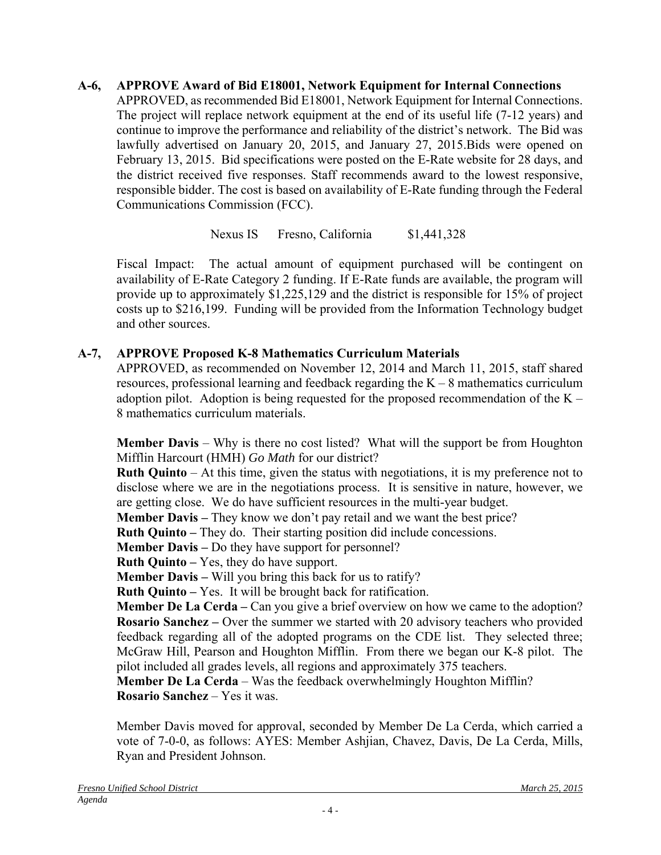**A-6, APPROVE Award of Bid E18001, Network Equipment for Internal Connections**  APPROVED, as recommended Bid E18001, Network Equipment for Internal Connections. The project will replace network equipment at the end of its useful life (7-12 years) and continue to improve the performance and reliability of the district's network. The Bid was lawfully advertised on January 20, 2015, and January 27, 2015.Bids were opened on February 13, 2015. Bid specifications were posted on the E-Rate website for 28 days, and the district received five responses. Staff recommends award to the lowest responsive, responsible bidder. The cost is based on availability of E-Rate funding through the Federal Communications Commission (FCC).

# Nexus IS Fresno, California \$1,441,328

Fiscal Impact: The actual amount of equipment purchased will be contingent on availability of E-Rate Category 2 funding. If E-Rate funds are available, the program will provide up to approximately \$1,225,129 and the district is responsible for 15% of project costs up to \$216,199. Funding will be provided from the Information Technology budget and other sources.

# **A-7, APPROVE Proposed K-8 Mathematics Curriculum Materials**

APPROVED, as recommended on November 12, 2014 and March 11, 2015, staff shared resources, professional learning and feedback regarding the  $K - 8$  mathematics curriculum adoption pilot. Adoption is being requested for the proposed recommendation of the  $K -$ 8 mathematics curriculum materials.

**Member Davis** – Why is there no cost listed? What will the support be from Houghton Mifflin Harcourt (HMH) *Go Math* for our district?

**Ruth Quinto** – At this time, given the status with negotiations, it is my preference not to disclose where we are in the negotiations process. It is sensitive in nature, however, we are getting close. We do have sufficient resources in the multi-year budget.

**Member Davis** – They know we don't pay retail and we want the best price?

**Ruth Quinto –** They do. Their starting position did include concessions.

**Member Davis –** Do they have support for personnel?

**Ruth Quinto –** Yes, they do have support.

**Member Davis –** Will you bring this back for us to ratify?

**Ruth Quinto –** Yes. It will be brought back for ratification.

**Member De La Cerda –** Can you give a brief overview on how we came to the adoption? **Rosario Sanchez –** Over the summer we started with 20 advisory teachers who provided feedback regarding all of the adopted programs on the CDE list. They selected three; McGraw Hill, Pearson and Houghton Mifflin. From there we began our K-8 pilot. The pilot included all grades levels, all regions and approximately 375 teachers.

**Member De La Cerda** – Was the feedback overwhelmingly Houghton Mifflin? **Rosario Sanchez** – Yes it was.

Member Davis moved for approval, seconded by Member De La Cerda, which carried a vote of 7-0-0, as follows: AYES: Member Ashjian, Chavez, Davis, De La Cerda, Mills, Ryan and President Johnson.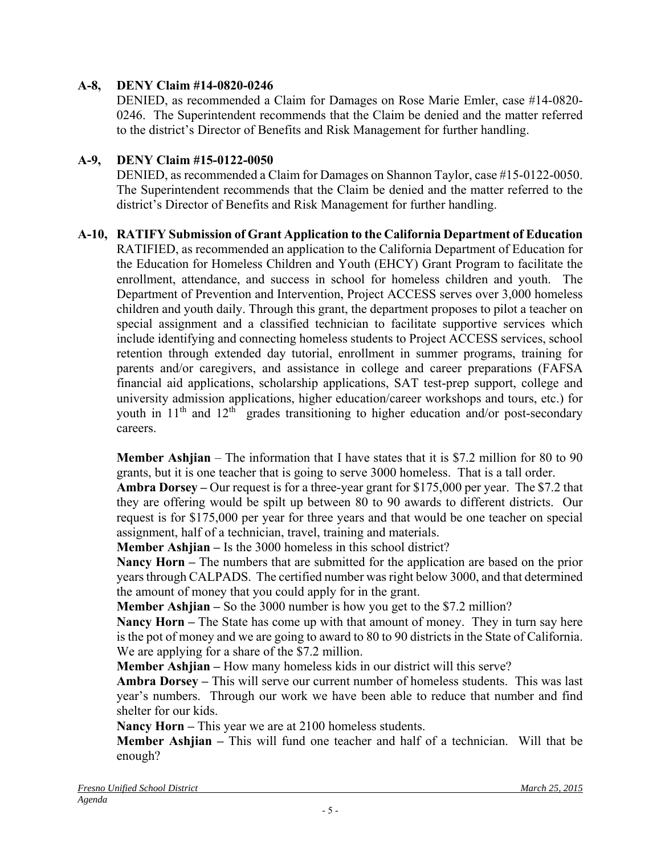## **A-8, DENY Claim #14-0820-0246**

DENIED, as recommended a Claim for Damages on Rose Marie Emler, case #14-0820- 0246. The Superintendent recommends that the Claim be denied and the matter referred to the district's Director of Benefits and Risk Management for further handling.

### **A-9, DENY Claim #15-0122-0050**

DENIED, as recommended a Claim for Damages on Shannon Taylor, case #15-0122-0050. The Superintendent recommends that the Claim be denied and the matter referred to the district's Director of Benefits and Risk Management for further handling.

## **A-10, RATIFY Submission of Grant Application to the California Department of Education**

RATIFIED, as recommended an application to the California Department of Education for the Education for Homeless Children and Youth (EHCY) Grant Program to facilitate the enrollment, attendance, and success in school for homeless children and youth. The Department of Prevention and Intervention, Project ACCESS serves over 3,000 homeless children and youth daily. Through this grant, the department proposes to pilot a teacher on special assignment and a classified technician to facilitate supportive services which include identifying and connecting homeless students to Project ACCESS services, school retention through extended day tutorial, enrollment in summer programs, training for parents and/or caregivers, and assistance in college and career preparations (FAFSA financial aid applications, scholarship applications, SAT test-prep support, college and university admission applications, higher education/career workshops and tours, etc.) for youth in  $11<sup>th</sup>$  and  $12<sup>th</sup>$  grades transitioning to higher education and/or post-secondary careers.

**Member Ashjian** – The information that I have states that it is \$7.2 million for 80 to 90 grants, but it is one teacher that is going to serve 3000 homeless. That is a tall order.

**Ambra Dorsey –** Our request is for a three-year grant for \$175,000 per year. The \$7.2 that they are offering would be spilt up between 80 to 90 awards to different districts. Our request is for \$175,000 per year for three years and that would be one teacher on special assignment, half of a technician, travel, training and materials.

**Member Ashjian –** Is the 3000 homeless in this school district?

**Nancy Horn –** The numbers that are submitted for the application are based on the prior years through CALPADS. The certified number was right below 3000, and that determined the amount of money that you could apply for in the grant.

**Member Ashjian –** So the 3000 number is how you get to the \$7.2 million?

**Nancy Horn –** The State has come up with that amount of money. They in turn say here is the pot of money and we are going to award to 80 to 90 districts in the State of California. We are applying for a share of the \$7.2 million.

**Member Ashjian –** How many homeless kids in our district will this serve?

**Ambra Dorsey –** This will serve our current number of homeless students. This was last year's numbers. Through our work we have been able to reduce that number and find shelter for our kids.

**Nancy Horn –** This year we are at 2100 homeless students.

**Member Ashjian –** This will fund one teacher and half of a technician. Will that be enough?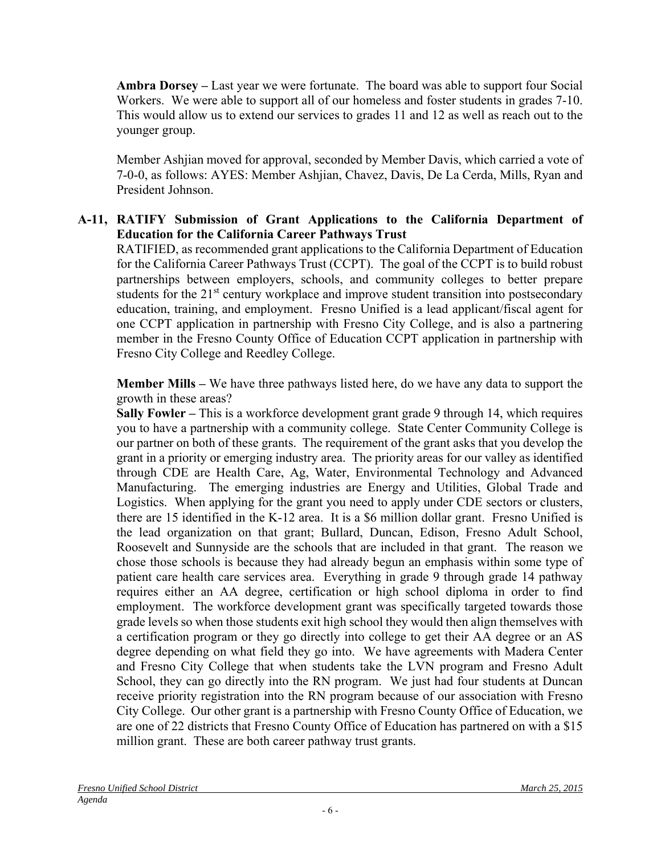**Ambra Dorsey –** Last year we were fortunate. The board was able to support four Social Workers. We were able to support all of our homeless and foster students in grades 7-10. This would allow us to extend our services to grades 11 and 12 as well as reach out to the younger group.

Member Ashjian moved for approval, seconded by Member Davis, which carried a vote of 7-0-0, as follows: AYES: Member Ashjian, Chavez, Davis, De La Cerda, Mills, Ryan and President Johnson.

# **A-11, RATIFY Submission of Grant Applications to the California Department of Education for the California Career Pathways Trust**

RATIFIED, as recommended grant applications to the California Department of Education for the California Career Pathways Trust (CCPT). The goal of the CCPT is to build robust partnerships between employers, schools, and community colleges to better prepare students for the 21<sup>st</sup> century workplace and improve student transition into postsecondary education, training, and employment. Fresno Unified is a lead applicant/fiscal agent for one CCPT application in partnership with Fresno City College, and is also a partnering member in the Fresno County Office of Education CCPT application in partnership with Fresno City College and Reedley College.

**Member Mills –** We have three pathways listed here, do we have any data to support the growth in these areas?

**Sally Fowler –** This is a workforce development grant grade 9 through 14, which requires you to have a partnership with a community college. State Center Community College is our partner on both of these grants. The requirement of the grant asks that you develop the grant in a priority or emerging industry area. The priority areas for our valley as identified through CDE are Health Care, Ag, Water, Environmental Technology and Advanced Manufacturing. The emerging industries are Energy and Utilities, Global Trade and Logistics. When applying for the grant you need to apply under CDE sectors or clusters, there are 15 identified in the K-12 area. It is a \$6 million dollar grant. Fresno Unified is the lead organization on that grant; Bullard, Duncan, Edison, Fresno Adult School, Roosevelt and Sunnyside are the schools that are included in that grant. The reason we chose those schools is because they had already begun an emphasis within some type of patient care health care services area. Everything in grade 9 through grade 14 pathway requires either an AA degree, certification or high school diploma in order to find employment. The workforce development grant was specifically targeted towards those grade levels so when those students exit high school they would then align themselves with a certification program or they go directly into college to get their AA degree or an AS degree depending on what field they go into. We have agreements with Madera Center and Fresno City College that when students take the LVN program and Fresno Adult School, they can go directly into the RN program. We just had four students at Duncan receive priority registration into the RN program because of our association with Fresno City College. Our other grant is a partnership with Fresno County Office of Education, we are one of 22 districts that Fresno County Office of Education has partnered on with a \$15 million grant. These are both career pathway trust grants.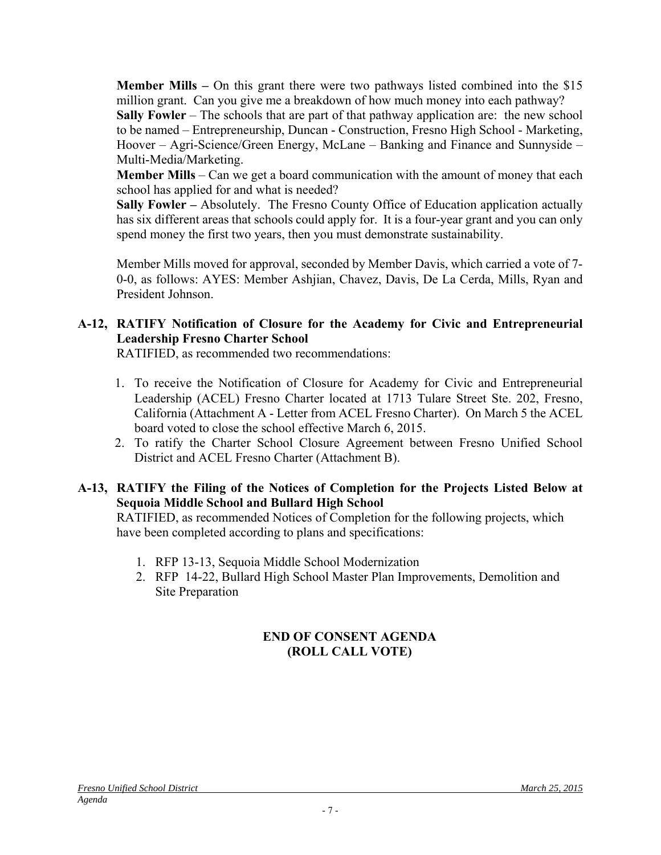**Member Mills –** On this grant there were two pathways listed combined into the \$15 million grant. Can you give me a breakdown of how much money into each pathway? **Sally Fowler** – The schools that are part of that pathway application are: the new school to be named – Entrepreneurship, Duncan - Construction, Fresno High School - Marketing, Hoover – Agri-Science/Green Energy, McLane – Banking and Finance and Sunnyside – Multi-Media/Marketing.

**Member Mills** – Can we get a board communication with the amount of money that each school has applied for and what is needed?

**Sally Fowler –** Absolutely.The Fresno County Office of Education application actually has six different areas that schools could apply for. It is a four-year grant and you can only spend money the first two years, then you must demonstrate sustainability.

Member Mills moved for approval, seconded by Member Davis, which carried a vote of 7- 0-0, as follows: AYES: Member Ashjian, Chavez, Davis, De La Cerda, Mills, Ryan and President Johnson.

# **A-12, RATIFY Notification of Closure for the Academy for Civic and Entrepreneurial Leadership Fresno Charter School**

RATIFIED, as recommended two recommendations:

- 1. To receive the Notification of Closure for Academy for Civic and Entrepreneurial Leadership (ACEL) Fresno Charter located at 1713 Tulare Street Ste. 202, Fresno, California (Attachment A - Letter from ACEL Fresno Charter). On March 5 the ACEL board voted to close the school effective March 6, 2015.
- 2. To ratify the Charter School Closure Agreement between Fresno Unified School District and ACEL Fresno Charter (Attachment B).

## **A-13, RATIFY the Filing of the Notices of Completion for the Projects Listed Below at Sequoia Middle School and Bullard High School**

RATIFIED, as recommended Notices of Completion for the following projects, which have been completed according to plans and specifications:

- 1. RFP 13-13, Sequoia Middle School Modernization
- 2. RFP 14-22, Bullard High School Master Plan Improvements, Demolition and Site Preparation

## **END OF CONSENT AGENDA (ROLL CALL VOTE)**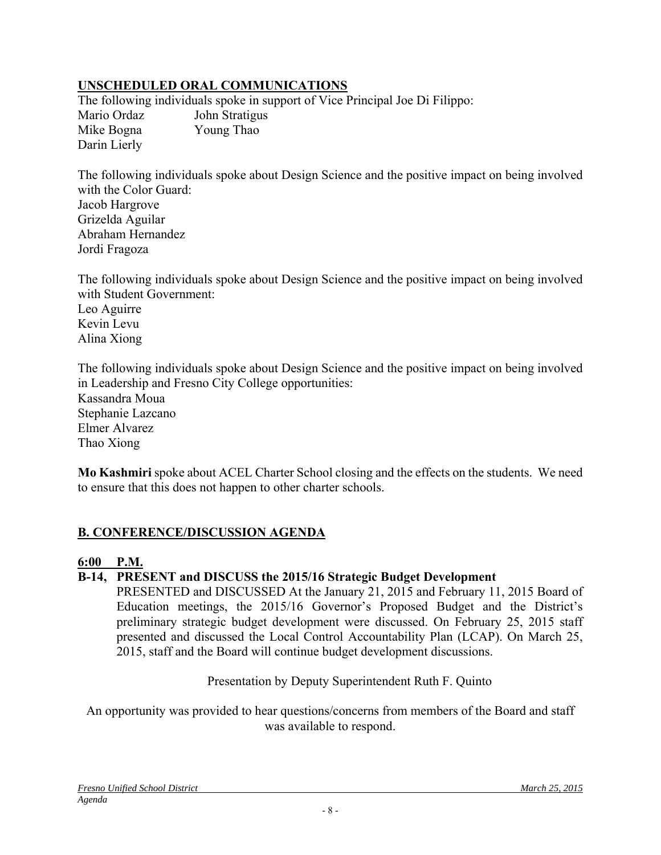# **UNSCHEDULED ORAL COMMUNICATIONS**

The following individuals spoke in support of Vice Principal Joe Di Filippo: Mario Ordaz John Stratigus Mike Bogna Young Thao Darin Lierly

The following individuals spoke about Design Science and the positive impact on being involved with the Color Guard: Jacob Hargrove Grizelda Aguilar Abraham Hernandez Jordi Fragoza

The following individuals spoke about Design Science and the positive impact on being involved with Student Government:

Leo Aguirre Kevin Levu Alina Xiong

The following individuals spoke about Design Science and the positive impact on being involved in Leadership and Fresno City College opportunities: Kassandra Moua Stephanie Lazcano Elmer Alvarez Thao Xiong

**Mo Kashmiri** spoke about ACEL Charter School closing and the effects on the students. We need to ensure that this does not happen to other charter schools.

## **B. CONFERENCE/DISCUSSION AGENDA**

## **6:00 P.M.**

## **B-14, PRESENT and DISCUSS the 2015/16 Strategic Budget Development**

PRESENTED and DISCUSSED At the January 21, 2015 and February 11, 2015 Board of Education meetings, the 2015/16 Governor's Proposed Budget and the District's preliminary strategic budget development were discussed. On February 25, 2015 staff presented and discussed the Local Control Accountability Plan (LCAP). On March 25, 2015, staff and the Board will continue budget development discussions.

Presentation by Deputy Superintendent Ruth F. Quinto

An opportunity was provided to hear questions/concerns from members of the Board and staff was available to respond.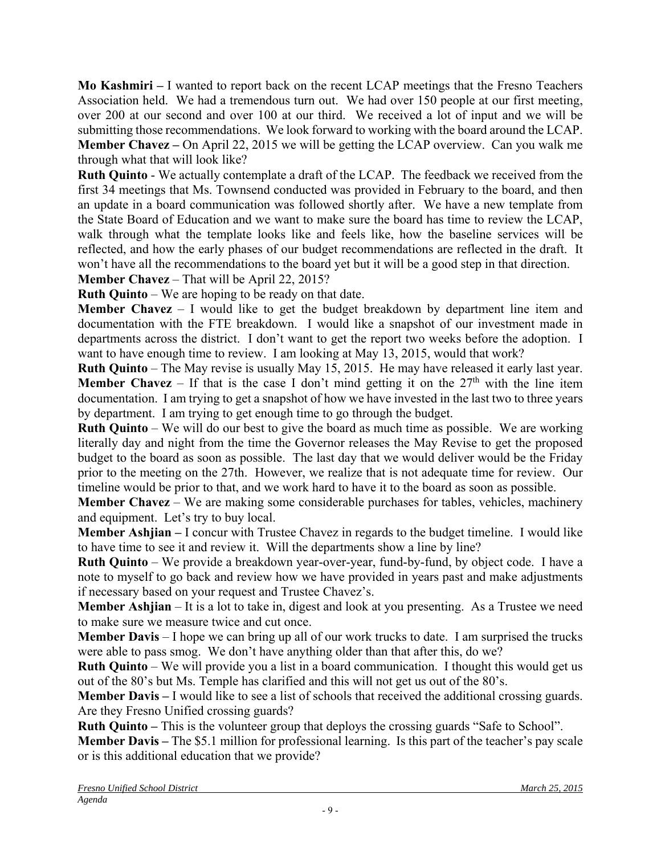**Mo Kashmiri –** I wanted to report back on the recent LCAP meetings that the Fresno Teachers Association held. We had a tremendous turn out. We had over 150 people at our first meeting, over 200 at our second and over 100 at our third. We received a lot of input and we will be submitting those recommendations. We look forward to working with the board around the LCAP. **Member Chavez –** On April 22, 2015 we will be getting the LCAP overview. Can you walk me through what that will look like?

**Ruth Quinto** - We actually contemplate a draft of the LCAP. The feedback we received from the first 34 meetings that Ms. Townsend conducted was provided in February to the board, and then an update in a board communication was followed shortly after. We have a new template from the State Board of Education and we want to make sure the board has time to review the LCAP, walk through what the template looks like and feels like, how the baseline services will be reflected, and how the early phases of our budget recommendations are reflected in the draft. It won't have all the recommendations to the board yet but it will be a good step in that direction.

**Member Chavez** – That will be April 22, 2015?

**Ruth Quinto** – We are hoping to be ready on that date.

**Member Chavez** – I would like to get the budget breakdown by department line item and documentation with the FTE breakdown. I would like a snapshot of our investment made in departments across the district. I don't want to get the report two weeks before the adoption. I want to have enough time to review. I am looking at May 13, 2015, would that work?

**Ruth Quinto** – The May revise is usually May 15, 2015. He may have released it early last year. **Member Chavez** – If that is the case I don't mind getting it on the  $27<sup>th</sup>$  with the line item documentation. I am trying to get a snapshot of how we have invested in the last two to three years by department. I am trying to get enough time to go through the budget.

**Ruth Quinto** – We will do our best to give the board as much time as possible. We are working literally day and night from the time the Governor releases the May Revise to get the proposed budget to the board as soon as possible. The last day that we would deliver would be the Friday prior to the meeting on the 27th. However, we realize that is not adequate time for review. Our timeline would be prior to that, and we work hard to have it to the board as soon as possible.

**Member Chavez** – We are making some considerable purchases for tables, vehicles, machinery and equipment. Let's try to buy local.

**Member Ashjian –** I concur with Trustee Chavez in regards to the budget timeline. I would like to have time to see it and review it. Will the departments show a line by line?

**Ruth Quinto** – We provide a breakdown year-over-year, fund-by-fund, by object code. I have a note to myself to go back and review how we have provided in years past and make adjustments if necessary based on your request and Trustee Chavez's.

**Member Ashjian** – It is a lot to take in, digest and look at you presenting. As a Trustee we need to make sure we measure twice and cut once.

**Member Davis** – I hope we can bring up all of our work trucks to date. I am surprised the trucks were able to pass smog. We don't have anything older than that after this, do we?

**Ruth Quinto** – We will provide you a list in a board communication. I thought this would get us out of the 80's but Ms. Temple has clarified and this will not get us out of the 80's.

**Member Davis** – I would like to see a list of schools that received the additional crossing guards. Are they Fresno Unified crossing guards?

**Ruth Quinto** – This is the volunteer group that deploys the crossing guards "Safe to School".

**Member Davis –** The \$5.1 million for professional learning. Is this part of the teacher's pay scale or is this additional education that we provide?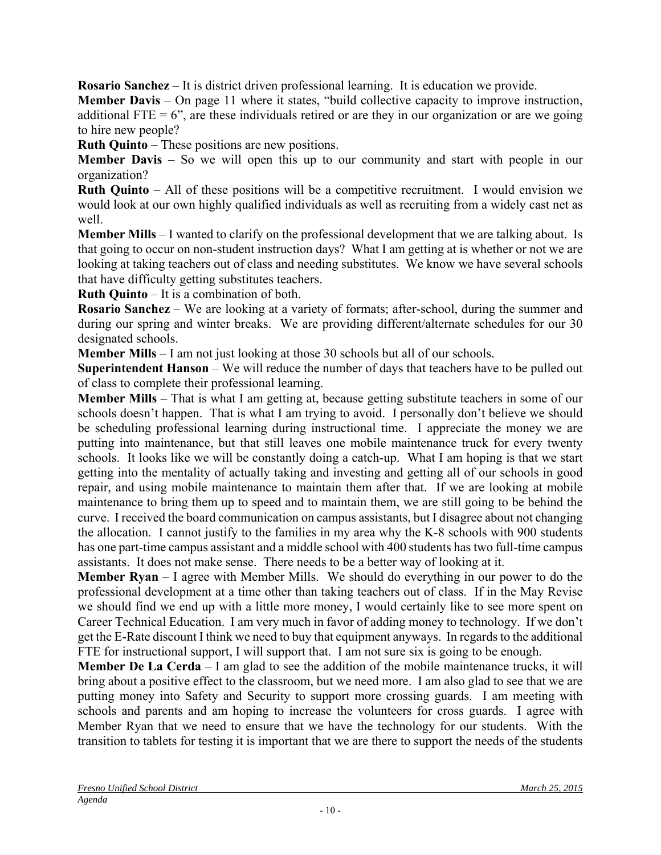**Rosario Sanchez** – It is district driven professional learning. It is education we provide.

**Member Davis** – On page 11 where it states, "build collective capacity to improve instruction, additional FTE  $= 6$ ", are these individuals retired or are they in our organization or are we going to hire new people?

**Ruth Quinto** – These positions are new positions.

**Member Davis** – So we will open this up to our community and start with people in our organization?

**Ruth Quinto** – All of these positions will be a competitive recruitment. I would envision we would look at our own highly qualified individuals as well as recruiting from a widely cast net as well.

**Member Mills** – I wanted to clarify on the professional development that we are talking about. Is that going to occur on non-student instruction days? What I am getting at is whether or not we are looking at taking teachers out of class and needing substitutes. We know we have several schools that have difficulty getting substitutes teachers.

**Ruth Quinto** – It is a combination of both.

**Rosario Sanchez** – We are looking at a variety of formats; after-school, during the summer and during our spring and winter breaks. We are providing different/alternate schedules for our 30 designated schools.

**Member Mills** – I am not just looking at those 30 schools but all of our schools.

**Superintendent Hanson** – We will reduce the number of days that teachers have to be pulled out of class to complete their professional learning.

**Member Mills** – That is what I am getting at, because getting substitute teachers in some of our schools doesn't happen. That is what I am trying to avoid. I personally don't believe we should be scheduling professional learning during instructional time. I appreciate the money we are putting into maintenance, but that still leaves one mobile maintenance truck for every twenty schools. It looks like we will be constantly doing a catch-up. What I am hoping is that we start getting into the mentality of actually taking and investing and getting all of our schools in good repair, and using mobile maintenance to maintain them after that. If we are looking at mobile maintenance to bring them up to speed and to maintain them, we are still going to be behind the curve. I received the board communication on campus assistants, but I disagree about not changing the allocation. I cannot justify to the families in my area why the K-8 schools with 900 students has one part-time campus assistant and a middle school with 400 students has two full-time campus assistants. It does not make sense. There needs to be a better way of looking at it.

**Member Ryan** – I agree with Member Mills. We should do everything in our power to do the professional development at a time other than taking teachers out of class. If in the May Revise we should find we end up with a little more money, I would certainly like to see more spent on Career Technical Education. I am very much in favor of adding money to technology. If we don't get the E-Rate discount I think we need to buy that equipment anyways. In regards to the additional FTE for instructional support, I will support that. I am not sure six is going to be enough.

**Member De La Cerda** – I am glad to see the addition of the mobile maintenance trucks, it will bring about a positive effect to the classroom, but we need more. I am also glad to see that we are putting money into Safety and Security to support more crossing guards. I am meeting with schools and parents and am hoping to increase the volunteers for cross guards. I agree with Member Ryan that we need to ensure that we have the technology for our students. With the transition to tablets for testing it is important that we are there to support the needs of the students